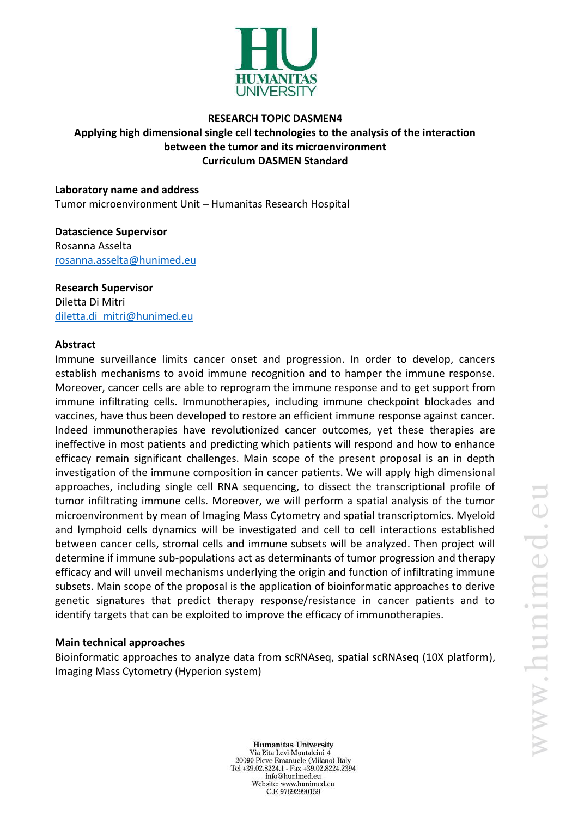

# **RESEARCH TOPIC DASMEN4 Applying high dimensional single cell technologies to the analysis of the interaction between the tumor and its microenvironment Curriculum DASMEN Standard**

**Laboratory name and address** Tumor microenvironment Unit – Humanitas Research Hospital

## **Datascience Supervisor** Rosanna Asselta [rosanna.asselta@hunimed.eu](mailto:rosanna.asselta@hunimed.eu)

**Research Supervisor** Diletta Di Mitri [diletta.di\\_mitri@hunimed.eu](mailto:diletta.di_mitri@hunimed.eu)

## **Abstract**

Immune surveillance limits cancer onset and progression. In order to develop, cancers establish mechanisms to avoid immune recognition and to hamper the immune response. Moreover, cancer cells are able to reprogram the immune response and to get support from immune infiltrating cells. Immunotherapies, including immune checkpoint blockades and vaccines, have thus been developed to restore an efficient immune response against cancer. Indeed immunotherapies have revolutionized cancer outcomes, yet these therapies are ineffective in most patients and predicting which patients will respond and how to enhance efficacy remain significant challenges. Main scope of the present proposal is an in depth investigation of the immune composition in cancer patients. We will apply high dimensional approaches, including single cell RNA sequencing, to dissect the transcriptional profile of tumor infiltrating immune cells. Moreover, we will perform a spatial analysis of the tumor microenvironment by mean of Imaging Mass Cytometry and spatial transcriptomics. Myeloid and lymphoid cells dynamics will be investigated and cell to cell interactions established between cancer cells, stromal cells and immune subsets will be analyzed. Then project will determine if immune sub-populations act as determinants of tumor progression and therapy efficacy and will unveil mechanisms underlying the origin and function of infiltrating immune subsets. Main scope of the proposal is the application of bioinformatic approaches to derive genetic signatures that predict therapy response/resistance in cancer patients and to identify targets that can be exploited to improve the efficacy of immunotherapies.

#### **Main technical approaches**

Bioinformatic approaches to analyze data from scRNAseq, spatial scRNAseq (10X platform), Imaging Mass Cytometry (Hyperion system)

**Humanitas University** Via Rita Levi Montalcini 4 20090 Pieve Emanuele (Milano) Italy Tel +39.02.8224.1 - Fax +39.02.8224.2394 info@hunimed.eu Website: www.hunimed.eu C.F. 97692990159